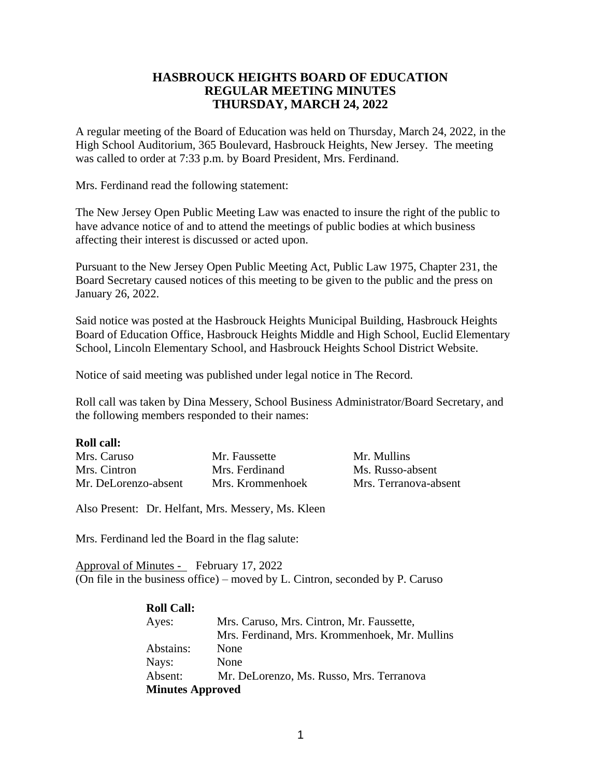# **HASBROUCK HEIGHTS BOARD OF EDUCATION REGULAR MEETING MINUTES THURSDAY, MARCH 24, 2022**

A regular meeting of the Board of Education was held on Thursday, March 24, 2022, in the High School Auditorium, 365 Boulevard, Hasbrouck Heights, New Jersey. The meeting was called to order at 7:33 p.m. by Board President, Mrs. Ferdinand.

Mrs. Ferdinand read the following statement:

The New Jersey Open Public Meeting Law was enacted to insure the right of the public to have advance notice of and to attend the meetings of public bodies at which business affecting their interest is discussed or acted upon.

Pursuant to the New Jersey Open Public Meeting Act, Public Law 1975, Chapter 231, the Board Secretary caused notices of this meeting to be given to the public and the press on January 26, 2022.

Said notice was posted at the Hasbrouck Heights Municipal Building, Hasbrouck Heights Board of Education Office, Hasbrouck Heights Middle and High School, Euclid Elementary School, Lincoln Elementary School, and Hasbrouck Heights School District Website.

Notice of said meeting was published under legal notice in The Record.

Roll call was taken by Dina Messery, School Business Administrator/Board Secretary, and the following members responded to their names:

### **Roll call:**

| Mrs. Caruso          | Mr. Faussette    | Mr. Mullins           |
|----------------------|------------------|-----------------------|
| Mrs. Cintron         | Mrs. Ferdinand   | Ms. Russo-absent      |
| Mr. DeLorenzo-absent | Mrs. Krommenhoek | Mrs. Terranova-absent |

Also Present: Dr. Helfant, Mrs. Messery, Ms. Kleen

Mrs. Ferdinand led the Board in the flag salute:

Approval of Minutes - February 17, 2022 (On file in the business office) – moved by L. Cintron, seconded by P. Caruso

| <b>Roll Call:</b>       |                                               |
|-------------------------|-----------------------------------------------|
| Ayes:                   | Mrs. Caruso, Mrs. Cintron, Mr. Faussette,     |
|                         | Mrs. Ferdinand, Mrs. Krommenhoek, Mr. Mullins |
| Abstains:               | None                                          |
| Nays:                   | None                                          |
| Absent:                 | Mr. DeLorenzo, Ms. Russo, Mrs. Terranova      |
| <b>Minutes Approved</b> |                                               |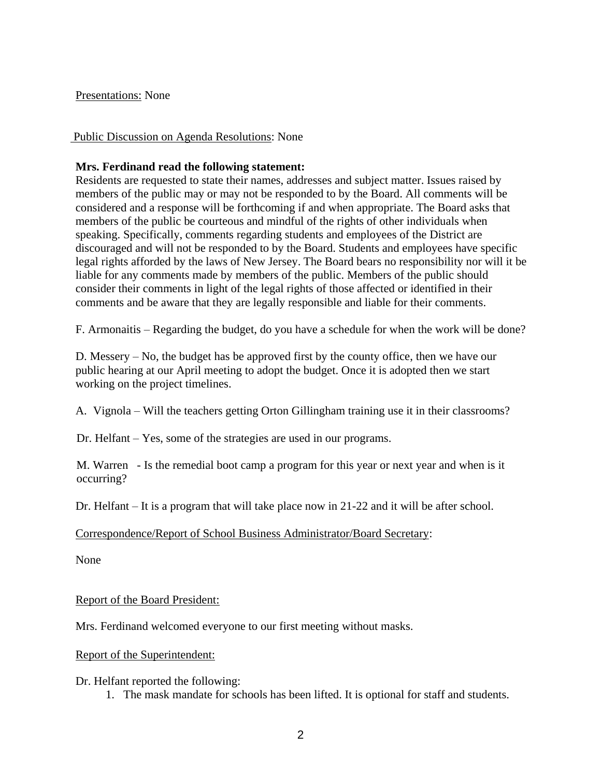## Presentations: None

# Public Discussion on Agenda Resolutions: None

# **Mrs. Ferdinand read the following statement:**

Residents are requested to state their names, addresses and subject matter. Issues raised by members of the public may or may not be responded to by the Board. All comments will be considered and a response will be forthcoming if and when appropriate. The Board asks that members of the public be courteous and mindful of the rights of other individuals when speaking. Specifically, comments regarding students and employees of the District are discouraged and will not be responded to by the Board. Students and employees have specific legal rights afforded by the laws of New Jersey. The Board bears no responsibility nor will it be liable for any comments made by members of the public. Members of the public should consider their comments in light of the legal rights of those affected or identified in their comments and be aware that they are legally responsible and liable for their comments.

F. Armonaitis – Regarding the budget, do you have a schedule for when the work will be done?

D. Messery – No, the budget has be approved first by the county office, then we have our public hearing at our April meeting to adopt the budget. Once it is adopted then we start working on the project timelines.

A. Vignola – Will the teachers getting Orton Gillingham training use it in their classrooms?

Dr. Helfant – Yes, some of the strategies are used in our programs.

M. Warren - Is the remedial boot camp a program for this year or next year and when is it occurring?

Dr. Helfant – It is a program that will take place now in 21-22 and it will be after school.

## Correspondence/Report of School Business Administrator/Board Secretary:

None

Report of the Board President:

Mrs. Ferdinand welcomed everyone to our first meeting without masks.

## Report of the Superintendent:

Dr. Helfant reported the following:

1. The mask mandate for schools has been lifted. It is optional for staff and students.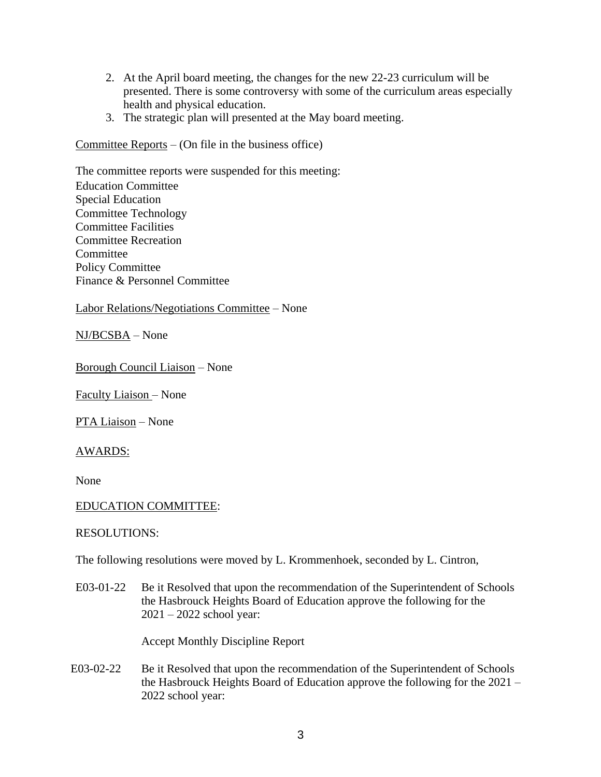- 2. At the April board meeting, the changes for the new 22-23 curriculum will be presented. There is some controversy with some of the curriculum areas especially health and physical education.
- 3. The strategic plan will presented at the May board meeting.

Committee Reports – (On file in the business office)

The committee reports were suspended for this meeting: Education Committee Special Education Committee Technology Committee Facilities Committee Recreation Committee Policy Committee Finance & Personnel Committee

## Labor Relations/Negotiations Committee – None

NJ/BCSBA – None

Borough Council Liaison – None

Faculty Liaison – None

PTA Liaison – None

AWARDS:

None

## EDUCATION COMMITTEE:

### RESOLUTIONS:

The following resolutions were moved by L. Krommenhoek, seconded by L. Cintron,

E03-01-22 Be it Resolved that upon the recommendation of the Superintendent of Schools the Hasbrouck Heights Board of Education approve the following for the 2021 – 2022 school year:

Accept Monthly Discipline Report

E03-02-22 Be it Resolved that upon the recommendation of the Superintendent of Schools the Hasbrouck Heights Board of Education approve the following for the 2021 – 2022 school year: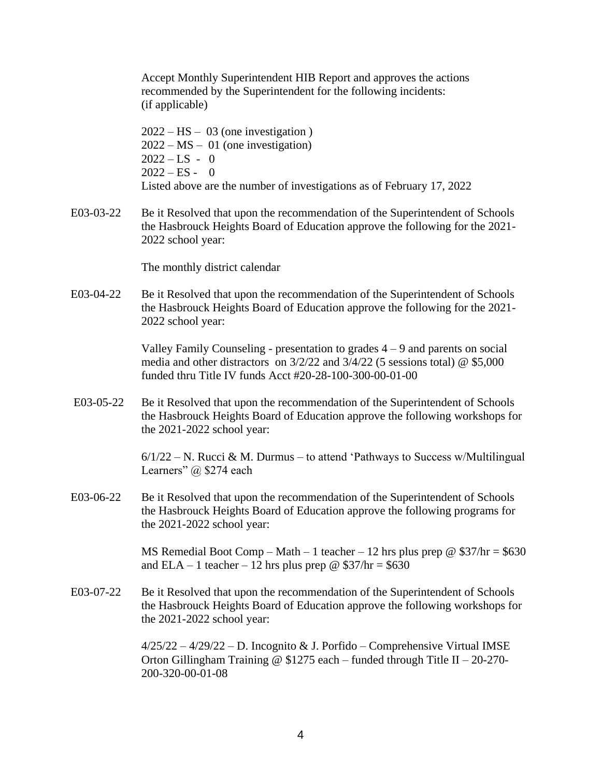Accept Monthly Superintendent HIB Report and approves the actions recommended by the Superintendent for the following incidents: (if applicable)

 $2022 - HS - 03$  (one investigation) 2022 – MS – 01 (one investigation)  $2022 - LS - 0$  $2022 - ES - 0$ Listed above are the number of investigations as of February 17, 2022

E03-03-22 Be it Resolved that upon the recommendation of the Superintendent of Schools the Hasbrouck Heights Board of Education approve the following for the 2021- 2022 school year:

The monthly district calendar

E03-04-22 Be it Resolved that upon the recommendation of the Superintendent of Schools the Hasbrouck Heights Board of Education approve the following for the 2021- 2022 school year:

> Valley Family Counseling - presentation to grades  $4 - 9$  and parents on social media and other distractors on 3/2/22 and 3/4/22 (5 sessions total) @ \$5,000 funded thru Title IV funds Acct #20-28-100-300-00-01-00

E03-05-22 Be it Resolved that upon the recommendation of the Superintendent of Schools the Hasbrouck Heights Board of Education approve the following workshops for the 2021-2022 school year:

> $6/1/22 - N$ . Rucci & M. Durmus – to attend 'Pathways to Success w/Multilingual Learners" @ \$274 each

E03-06-22 Be it Resolved that upon the recommendation of the Superintendent of Schools the Hasbrouck Heights Board of Education approve the following programs for the 2021-2022 school year:

> MS Remedial Boot Comp – Math – 1 teacher – 12 hrs plus prep @  $$37/hr = $630$ and ELA – 1 teacher – 12 hrs plus prep @  $$37/hr = $630$

E03-07-22 Be it Resolved that upon the recommendation of the Superintendent of Schools the Hasbrouck Heights Board of Education approve the following workshops for the 2021-2022 school year:

> $4/25/22 - 4/29/22 - D$ . Incognito & J. Porfido – Comprehensive Virtual IMSE Orton Gillingham Training @  $$1275$  each – funded through Title II – 20-270-200-320-00-01-08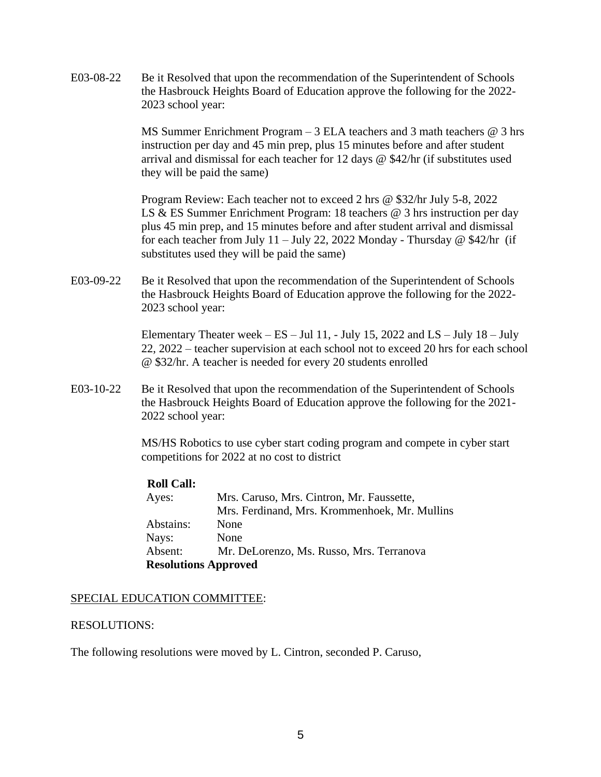E03-08-22 Be it Resolved that upon the recommendation of the Superintendent of Schools the Hasbrouck Heights Board of Education approve the following for the 2022- 2023 school year:

> MS Summer Enrichment Program – 3 ELA teachers and 3 math teachers @ 3 hrs instruction per day and 45 min prep, plus 15 minutes before and after student arrival and dismissal for each teacher for 12 days @ \$42/hr (if substitutes used they will be paid the same)

Program Review: Each teacher not to exceed 2 hrs @ \$32/hr July 5-8, 2022 LS & ES Summer Enrichment Program: 18 teachers @ 3 hrs instruction per day plus 45 min prep, and 15 minutes before and after student arrival and dismissal for each teacher from July 11 – July 22, 2022 Monday - Thursday @ \$42/hr (if substitutes used they will be paid the same)

E03-09-22 Be it Resolved that upon the recommendation of the Superintendent of Schools the Hasbrouck Heights Board of Education approve the following for the 2022- 2023 school year:

> Elementary Theater week –  $ES - Jul$  11, - July 15, 2022 and  $LS - July$  18 – July 22, 2022 – teacher supervision at each school not to exceed 20 hrs for each school @ \$32/hr. A teacher is needed for every 20 students enrolled

E03-10-22 Be it Resolved that upon the recommendation of the Superintendent of Schools the Hasbrouck Heights Board of Education approve the following for the 2021- 2022 school year:

> MS/HS Robotics to use cyber start coding program and compete in cyber start competitions for 2022 at no cost to district

| <b>Roll Call:</b>           |                                               |
|-----------------------------|-----------------------------------------------|
| Ayes:                       | Mrs. Caruso, Mrs. Cintron, Mr. Faussette,     |
|                             | Mrs. Ferdinand, Mrs. Krommenhoek, Mr. Mullins |
| Abstains:                   | None                                          |
| Nays:                       | None                                          |
| Absent:                     | Mr. DeLorenzo, Ms. Russo, Mrs. Terranova      |
| <b>Resolutions Approved</b> |                                               |

## SPECIAL EDUCATION COMMITTEE:

### RESOLUTIONS:

The following resolutions were moved by L. Cintron, seconded P. Caruso,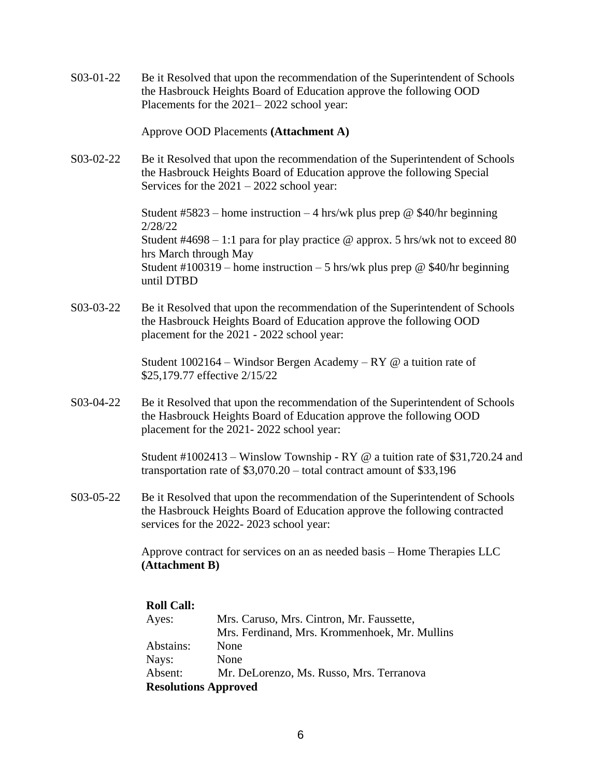S03-01-22 Be it Resolved that upon the recommendation of the Superintendent of Schools the Hasbrouck Heights Board of Education approve the following OOD Placements for the 2021– 2022 school year:

### Approve OOD Placements **(Attachment A)**

S03-02-22 Be it Resolved that upon the recommendation of the Superintendent of Schools the Hasbrouck Heights Board of Education approve the following Special Services for the 2021 – 2022 school year:

> Student #5823 – home instruction – 4 hrs/wk plus prep @ \$40/hr beginning 2/28/22 Student  $#4698 - 1:1$  para for play practice @ approx. 5 hrs/wk not to exceed 80 hrs March through May Student #100319 – home instruction – 5 hrs/wk plus prep @ \$40/hr beginning until DTBD

S03-03-22 Be it Resolved that upon the recommendation of the Superintendent of Schools the Hasbrouck Heights Board of Education approve the following OOD placement for the 2021 - 2022 school year:

> Student  $1002164$  – Windsor Bergen Academy – RY @ a tuition rate of \$25,179.77 effective 2/15/22

S03-04-22 Be it Resolved that upon the recommendation of the Superintendent of Schools the Hasbrouck Heights Board of Education approve the following OOD placement for the 2021- 2022 school year:

> Student #1002413 – Winslow Township - RY @ a tuition rate of \$31,720.24 and transportation rate of \$3,070.20 – total contract amount of \$33,196

S03-05-22 Be it Resolved that upon the recommendation of the Superintendent of Schools the Hasbrouck Heights Board of Education approve the following contracted services for the 2022- 2023 school year:

> Approve contract for services on an as needed basis – Home Therapies LLC **(Attachment B)**

| <b>Roll Call:</b>           |                                               |
|-----------------------------|-----------------------------------------------|
| Ayes:                       | Mrs. Caruso, Mrs. Cintron, Mr. Faussette,     |
|                             | Mrs. Ferdinand, Mrs. Krommenhoek, Mr. Mullins |
| Abstains:                   | None                                          |
| Nays:                       | None                                          |
| Absent:                     | Mr. DeLorenzo, Ms. Russo, Mrs. Terranova      |
| <b>Resolutions Approved</b> |                                               |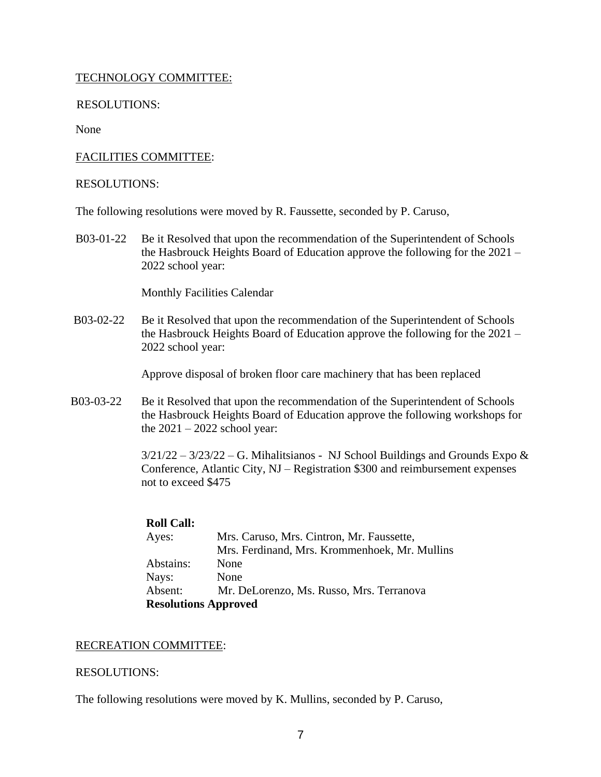# TECHNOLOGY COMMITTEE:

RESOLUTIONS:

None

# FACILITIES COMMITTEE:

## RESOLUTIONS:

The following resolutions were moved by R. Faussette, seconded by P. Caruso,

B03-01-22 Be it Resolved that upon the recommendation of the Superintendent of Schools the Hasbrouck Heights Board of Education approve the following for the 2021 – 2022 school year:

Monthly Facilities Calendar

B03-02-22 Be it Resolved that upon the recommendation of the Superintendent of Schools the Hasbrouck Heights Board of Education approve the following for the 2021 – 2022 school year:

Approve disposal of broken floor care machinery that has been replaced

B03-03-22 Be it Resolved that upon the recommendation of the Superintendent of Schools the Hasbrouck Heights Board of Education approve the following workshops for the  $2021 - 2022$  school year:

> $3/21/22 - 3/23/22 - G$ . Mihalitsianos - NJ School Buildings and Grounds Expo & Conference, Atlantic City, NJ – Registration \$300 and reimbursement expenses not to exceed \$475

## **Roll Call:**

| Ayes:     | Mrs. Caruso, Mrs. Cintron, Mr. Faussette,     |
|-----------|-----------------------------------------------|
|           | Mrs. Ferdinand, Mrs. Krommenhoek, Mr. Mullins |
| Abstains: | None                                          |
| Nays:     | None                                          |
| Absent:   | Mr. DeLorenzo, Ms. Russo, Mrs. Terranova      |
|           | <b>Resolutions Approved</b>                   |

## RECREATION COMMITTEE:

## RESOLUTIONS:

The following resolutions were moved by K. Mullins, seconded by P. Caruso,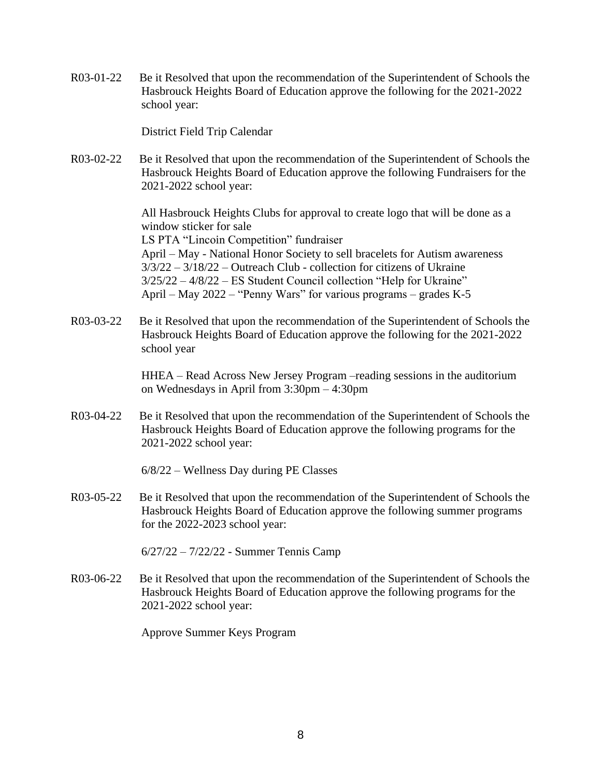R03-01-22 Be it Resolved that upon the recommendation of the Superintendent of Schools the Hasbrouck Heights Board of Education approve the following for the 2021-2022 school year:

District Field Trip Calendar

R03-02-22 Be it Resolved that upon the recommendation of the Superintendent of Schools the Hasbrouck Heights Board of Education approve the following Fundraisers for the 2021-2022 school year:

> All Hasbrouck Heights Clubs for approval to create logo that will be done as a window sticker for sale LS PTA "Lincoin Competition" fundraiser April – May - National Honor Society to sell bracelets for Autism awareness 3/3/22 – 3/18/22 – Outreach Club - collection for citizens of Ukraine 3/25/22 – 4/8/22 – ES Student Council collection "Help for Ukraine" April – May 2022 – "Penny Wars" for various programs – grades K-5

R03-03-22 Be it Resolved that upon the recommendation of the Superintendent of Schools the Hasbrouck Heights Board of Education approve the following for the 2021-2022 school year

> HHEA – Read Across New Jersey Program –reading sessions in the auditorium on Wednesdays in April from 3:30pm – 4:30pm

R03-04-22 Be it Resolved that upon the recommendation of the Superintendent of Schools the Hasbrouck Heights Board of Education approve the following programs for the 2021-2022 school year:

6/8/22 – Wellness Day during PE Classes

R03-05-22 Be it Resolved that upon the recommendation of the Superintendent of Schools the Hasbrouck Heights Board of Education approve the following summer programs for the 2022-2023 school year:

6/27/22 – 7/22/22 - Summer Tennis Camp

R03-06-22 Be it Resolved that upon the recommendation of the Superintendent of Schools the Hasbrouck Heights Board of Education approve the following programs for the 2021-2022 school year:

Approve Summer Keys Program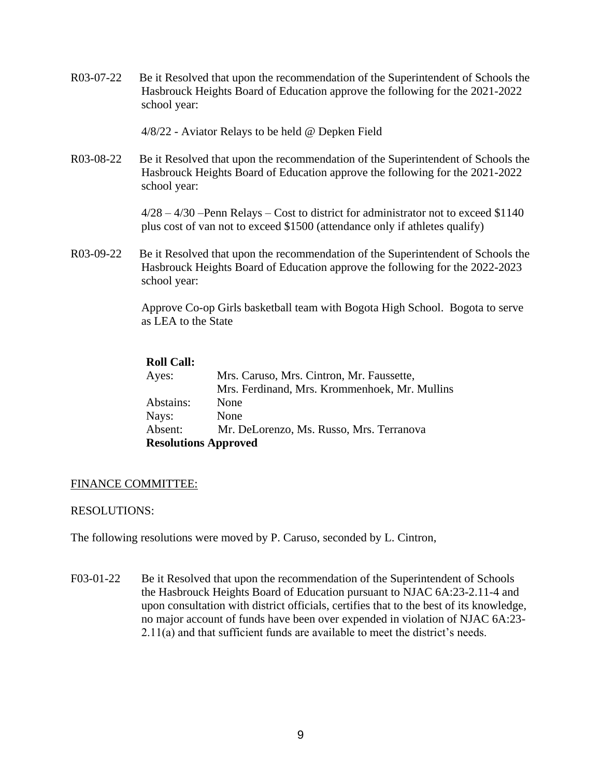R03-07-22 Be it Resolved that upon the recommendation of the Superintendent of Schools the Hasbrouck Heights Board of Education approve the following for the 2021-2022 school year:

4/8/22 - Aviator Relays to be held @ Depken Field

R03-08-22 Be it Resolved that upon the recommendation of the Superintendent of Schools the Hasbrouck Heights Board of Education approve the following for the 2021-2022 school year:

> 4/28 – 4/30 –Penn Relays – Cost to district for administrator not to exceed \$1140 plus cost of van not to exceed \$1500 (attendance only if athletes qualify)

R03-09-22 Be it Resolved that upon the recommendation of the Superintendent of Schools the Hasbrouck Heights Board of Education approve the following for the 2022-2023 school year:

> Approve Co-op Girls basketball team with Bogota High School. Bogota to serve as LEA to the State

# **Roll Call:**

| Ayes:                       | Mrs. Caruso, Mrs. Cintron, Mr. Faussette,     |
|-----------------------------|-----------------------------------------------|
|                             | Mrs. Ferdinand, Mrs. Krommenhoek, Mr. Mullins |
| Abstains:                   | None                                          |
| Nays:                       | None                                          |
| Absent:                     | Mr. DeLorenzo, Ms. Russo, Mrs. Terranova      |
| <b>Resolutions Approved</b> |                                               |

## FINANCE COMMITTEE:

## RESOLUTIONS:

The following resolutions were moved by P. Caruso, seconded by L. Cintron,

F03-01-22 Be it Resolved that upon the recommendation of the Superintendent of Schools the Hasbrouck Heights Board of Education pursuant to NJAC 6A:23-2.11-4 and upon consultation with district officials, certifies that to the best of its knowledge, no major account of funds have been over expended in violation of NJAC 6A:23- 2.11(a) and that sufficient funds are available to meet the district's needs.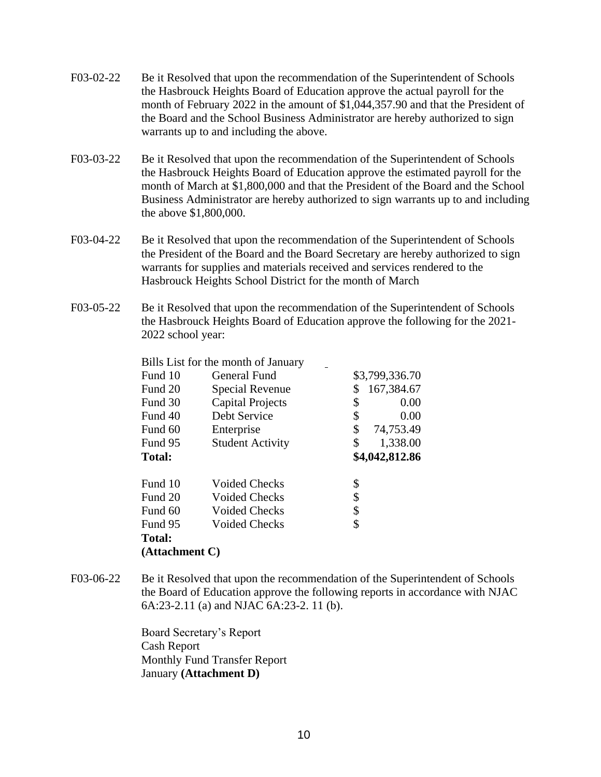- F03-02-22 Be it Resolved that upon the recommendation of the Superintendent of Schools the Hasbrouck Heights Board of Education approve the actual payroll for the month of February 2022 in the amount of \$1,044,357.90 and that the President of the Board and the School Business Administrator are hereby authorized to sign warrants up to and including the above.
- F03-03-22 Be it Resolved that upon the recommendation of the Superintendent of Schools the Hasbrouck Heights Board of Education approve the estimated payroll for the month of March at \$1,800,000 and that the President of the Board and the School Business Administrator are hereby authorized to sign warrants up to and including the above \$1,800,000.
- F03-04-22 Be it Resolved that upon the recommendation of the Superintendent of Schools the President of the Board and the Board Secretary are hereby authorized to sign warrants for supplies and materials received and services rendered to the Hasbrouck Heights School District for the month of March
- F03-05-22 Be it Resolved that upon the recommendation of the Superintendent of Schools the Hasbrouck Heights Board of Education approve the following for the 2021- 2022 school year:

Bills List for the month of January

| Fund 10        | <b>General Fund</b>     | \$3,799,336.70   |
|----------------|-------------------------|------------------|
| Fund 20        | Special Revenue         | 167,384.67<br>\$ |
| Fund 30        | <b>Capital Projects</b> | \$<br>0.00       |
| Fund 40        | Debt Service            | \$<br>0.00       |
| Fund 60        | Enterprise              | \$<br>74,753.49  |
| Fund 95        | <b>Student Activity</b> | \$<br>1,338.00   |
| <b>Total:</b>  |                         | \$4,042,812.86   |
| Fund 10        | <b>Voided Checks</b>    | \$               |
| Fund 20        | <b>Voided Checks</b>    | \$               |
| Fund 60        | Voided Checks           | \$               |
| Fund 95        | Voided Checks           | \$               |
| <b>Total:</b>  |                         |                  |
| (Attachment C) |                         |                  |

F03-06-22 Be it Resolved that upon the recommendation of the Superintendent of Schools the Board of Education approve the following reports in accordance with NJAC 6A:23-2.11 (a) and NJAC 6A:23-2. 11 (b).

> Board Secretary's Report Cash Report Monthly Fund Transfer Report January **(Attachment D)**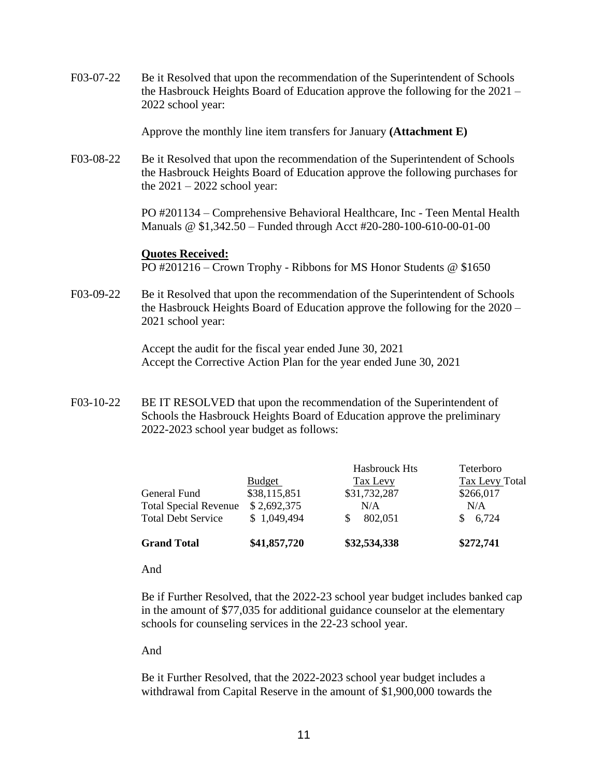F03-07-22 Be it Resolved that upon the recommendation of the Superintendent of Schools the Hasbrouck Heights Board of Education approve the following for the 2021 – 2022 school year:

Approve the monthly line item transfers for January **(Attachment E)**

F03-08-22 Be it Resolved that upon the recommendation of the Superintendent of Schools the Hasbrouck Heights Board of Education approve the following purchases for the  $2021 - 2022$  school year:

> PO #201134 – Comprehensive Behavioral Healthcare, Inc - Teen Mental Health Manuals @ \$1,342.50 – Funded through Acct #20-280-100-610-00-01-00

#### **Quotes Received:**

PO #201216 – Crown Trophy - Ribbons for MS Honor Students @ \$1650

F03-09-22 Be it Resolved that upon the recommendation of the Superintendent of Schools the Hasbrouck Heights Board of Education approve the following for the 2020 – 2021 school year:

> Accept the audit for the fiscal year ended June 30, 2021 Accept the Corrective Action Plan for the year ended June 30, 2021

F03-10-22 BE IT RESOLVED that upon the recommendation of the Superintendent of Schools the Hasbrouck Heights Board of Education approve the preliminary 2022-2023 school year budget as follows:

|                              | <b>Budget</b> | <b>Hasbrouck Hts</b><br>Tax Levy | <b>Teterboro</b><br><b>Tax Levy Total</b> |
|------------------------------|---------------|----------------------------------|-------------------------------------------|
| General Fund                 | \$38,115,851  | \$31,732,287                     | \$266,017                                 |
| <b>Total Special Revenue</b> | \$2,692,375   | N/A                              | N/A                                       |
| <b>Total Debt Service</b>    | \$1,049,494   | 802,051                          | 6,724                                     |
| <b>Grand Total</b>           | \$41,857,720  | \$32,534,338                     | \$272,741                                 |

And

Be if Further Resolved, that the 2022-23 school year budget includes banked cap in the amount of \$77,035 for additional guidance counselor at the elementary schools for counseling services in the 22-23 school year.

And

Be it Further Resolved, that the 2022-2023 school year budget includes a withdrawal from Capital Reserve in the amount of \$1,900,000 towards the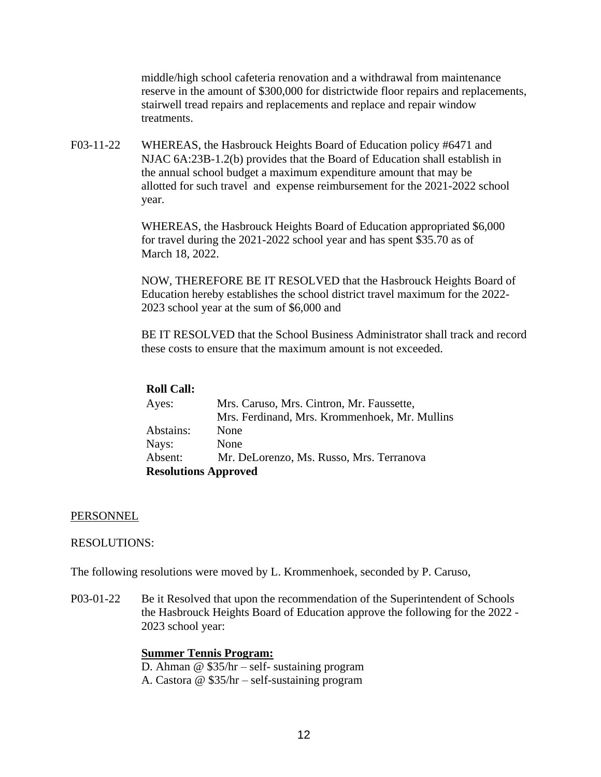middle/high school cafeteria renovation and a withdrawal from maintenance reserve in the amount of \$300,000 for districtwide floor repairs and replacements, stairwell tread repairs and replacements and replace and repair window treatments.

F03-11-22 WHEREAS, the Hasbrouck Heights Board of Education policy #6471 and NJAC 6A:23B-1.2(b) provides that the Board of Education shall establish in the annual school budget a maximum expenditure amount that may be allotted for such travel and expense reimbursement for the 2021-2022 school year.

> WHEREAS, the Hasbrouck Heights Board of Education appropriated \$6,000 for travel during the 2021-2022 school year and has spent \$35.70 as of March 18, 2022.

NOW, THEREFORE BE IT RESOLVED that the Hasbrouck Heights Board of Education hereby establishes the school district travel maximum for the 2022- 2023 school year at the sum of \$6,000 and

BE IT RESOLVED that the School Business Administrator shall track and record these costs to ensure that the maximum amount is not exceeded.

### **Roll Call:**

| Ayes:                       | Mrs. Caruso, Mrs. Cintron, Mr. Faussette,     |
|-----------------------------|-----------------------------------------------|
|                             | Mrs. Ferdinand, Mrs. Krommenhoek, Mr. Mullins |
| Abstains:                   | None                                          |
| Nays:                       | None                                          |
| Absent:                     | Mr. DeLorenzo, Ms. Russo, Mrs. Terranova      |
| <b>Resolutions Approved</b> |                                               |

#### PERSONNEL

#### RESOLUTIONS:

The following resolutions were moved by L. Krommenhoek, seconded by P. Caruso,

P03-01-22 Be it Resolved that upon the recommendation of the Superintendent of Schools the Hasbrouck Heights Board of Education approve the following for the 2022 - 2023 school year:

### **Summer Tennis Program:**

D. Ahman @ \$35/hr – self- sustaining program

A. Castora @ \$35/hr – self-sustaining program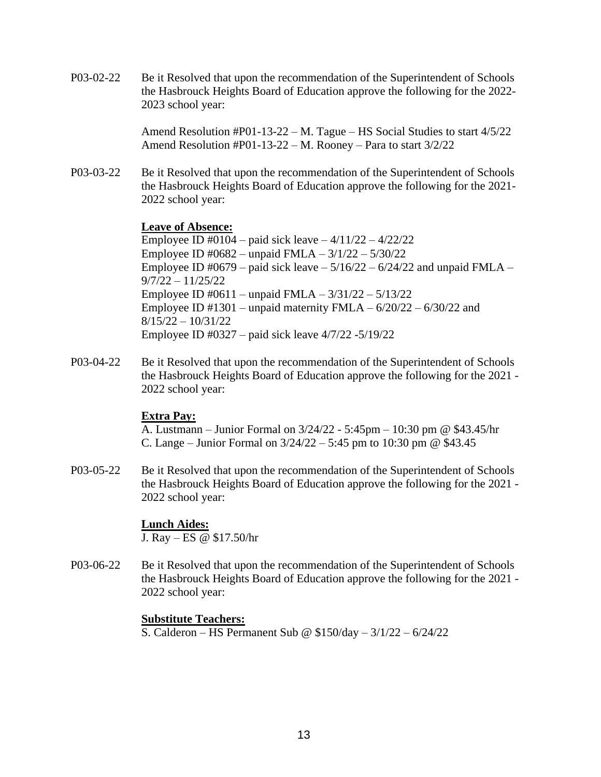P03-02-22 Be it Resolved that upon the recommendation of the Superintendent of Schools the Hasbrouck Heights Board of Education approve the following for the 2022- 2023 school year:

> Amend Resolution #P01-13-22 – M. Tague – HS Social Studies to start 4/5/22 Amend Resolution #P01-13-22 – M. Rooney – Para to start 3/2/22

P03-03-22 Be it Resolved that upon the recommendation of the Superintendent of Schools the Hasbrouck Heights Board of Education approve the following for the 2021- 2022 school year:

## **Leave of Absence:**

Employee ID #0104 – paid sick leave – 4/11/22 – 4/22/22 Employee ID #0682 – unpaid FMLA – 3/1/22 – 5/30/22 Employee ID #0679 – paid sick leave  $-5/16/22 - 6/24/22$  and unpaid FMLA – 9/7/22 – 11/25/22 Employee ID #0611 – unpaid FMLA – 3/31/22 – 5/13/22 Employee ID  $\text{\#}1301$  – unpaid maternity FMLA –  $6/20/22$  –  $6/30/22$  and  $8/15/22 - 10/31/22$ Employee ID #0327 – paid sick leave 4/7/22 -5/19/22

P03-04-22 Be it Resolved that upon the recommendation of the Superintendent of Schools the Hasbrouck Heights Board of Education approve the following for the 2021 - 2022 school year:

## **Extra Pay:**

A. Lustmann – Junior Formal on 3/24/22 - 5:45pm – 10:30 pm @ \$43.45/hr C. Lange – Junior Formal on  $3/24/22 - 5:45$  pm to 10:30 pm @ \$43.45

P03-05-22 Be it Resolved that upon the recommendation of the Superintendent of Schools the Hasbrouck Heights Board of Education approve the following for the 2021 - 2022 school year:

### **Lunch Aides:**

J. Ray – ES @ \$17.50/hr

P03-06-22 Be it Resolved that upon the recommendation of the Superintendent of Schools the Hasbrouck Heights Board of Education approve the following for the 2021 - 2022 school year:

### **Substitute Teachers:**

S. Calderon – HS Permanent Sub @ \$150/day – 3/1/22 – 6/24/22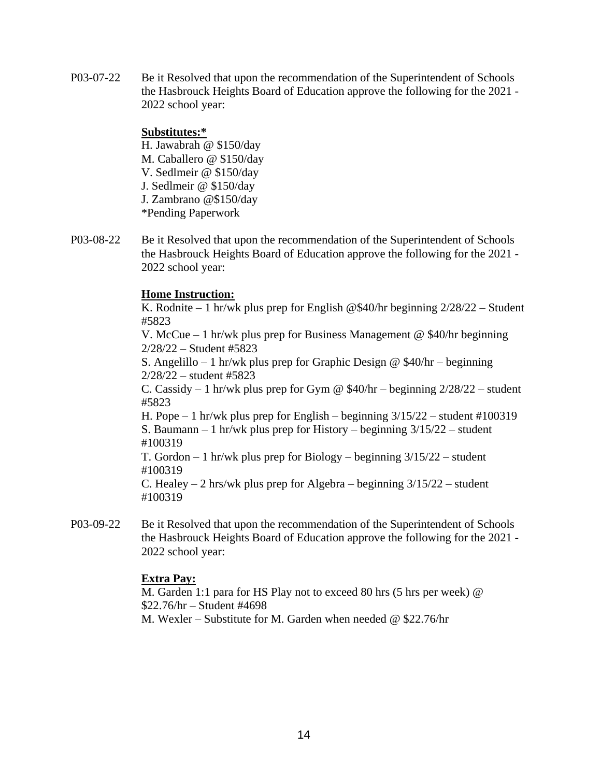P03-07-22 Be it Resolved that upon the recommendation of the Superintendent of Schools the Hasbrouck Heights Board of Education approve the following for the 2021 - 2022 school year:

## **Substitutes:\***

H. Jawabrah @ \$150/day M. Caballero @ \$150/day V. Sedlmeir @ \$150/day J. Sedlmeir @ \$150/day J. Zambrano @\$150/day \*Pending Paperwork

P03-08-22 Be it Resolved that upon the recommendation of the Superintendent of Schools the Hasbrouck Heights Board of Education approve the following for the 2021 - 2022 school year:

# **Home Instruction:**

K. Rodnite – 1 hr/wk plus prep for English @\$40/hr beginning  $2/28/22$  – Student #5823

V. McCue – 1 hr/wk plus prep for Business Management @ \$40/hr beginning 2/28/22 – Student #5823

S. Angelillo – 1 hr/wk plus prep for Graphic Design @  $$40/hr - beginning$ 2/28/22 – student #5823

C. Cassidy  $-1$  hr/wk plus prep for Gym @ \$40/hr – beginning  $2/28/22$  – student #5823

H. Pope  $-1$  hr/wk plus prep for English – beginning  $3/15/22$  – student #100319 S. Baumann – 1 hr/wk plus prep for History – beginning 3/15/22 – student #100319

T. Gordon – 1 hr/wk plus prep for Biology – beginning 3/15/22 – student #100319

C. Healey  $-2$  hrs/wk plus prep for Algebra – beginning  $3/15/22$  – student #100319

P03-09-22 Be it Resolved that upon the recommendation of the Superintendent of Schools the Hasbrouck Heights Board of Education approve the following for the 2021 - 2022 school year:

# **Extra Pay:**

M. Garden 1:1 para for HS Play not to exceed 80 hrs (5 hrs per week) @ \$22.76/hr – Student #4698 M. Wexler – Substitute for M. Garden when needed @ \$22.76/hr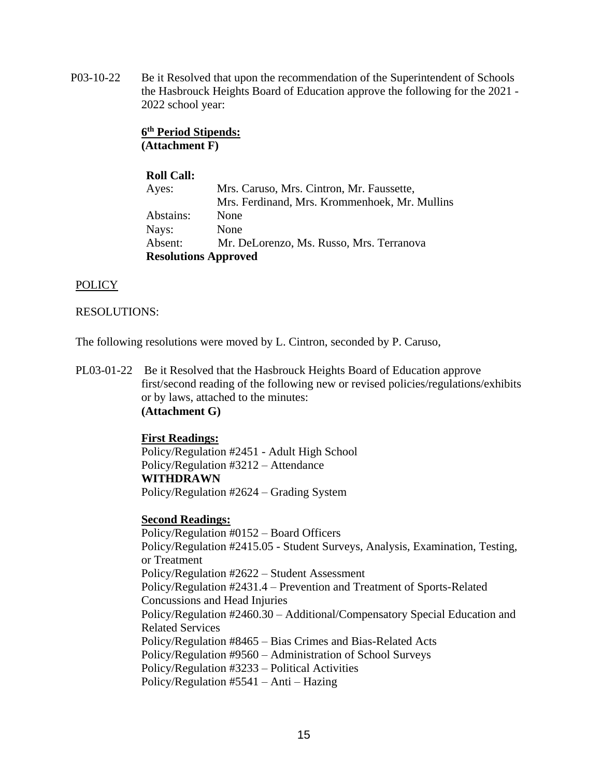P03-10-22 Be it Resolved that upon the recommendation of the Superintendent of Schools the Hasbrouck Heights Board of Education approve the following for the 2021 - 2022 school year:

> **6 th Period Stipends: (Attachment F)**

### **Roll Call:**

| Ayes:     | Mrs. Caruso, Mrs. Cintron, Mr. Faussette,     |
|-----------|-----------------------------------------------|
|           | Mrs. Ferdinand, Mrs. Krommenhoek, Mr. Mullins |
| Abstains: | None                                          |
| Nays:     | None                                          |
| Absent:   | Mr. DeLorenzo, Ms. Russo, Mrs. Terranova      |
|           | <b>Resolutions Approved</b>                   |

## **POLICY**

## RESOLUTIONS:

The following resolutions were moved by L. Cintron, seconded by P. Caruso,

PL03-01-22 Be it Resolved that the Hasbrouck Heights Board of Education approve first/second reading of the following new or revised policies/regulations/exhibits or by laws, attached to the minutes: **(Attachment G)**

## **First Readings:**

Policy/Regulation #2451 - Adult High School Policy/Regulation #3212 – Attendance **WITHDRAWN** Policy/Regulation #2624 – Grading System

### **Second Readings:**

Policy/Regulation #0152 – Board Officers Policy/Regulation #2415.05 - Student Surveys, Analysis, Examination, Testing, or Treatment Policy/Regulation #2622 – Student Assessment Policy/Regulation #2431.4 – Prevention and Treatment of Sports-Related Concussions and Head Injuries Policy/Regulation #2460.30 – Additional/Compensatory Special Education and Related Services Policy/Regulation #8465 – Bias Crimes and Bias-Related Acts Policy/Regulation #9560 – Administration of School Surveys Policy/Regulation #3233 – Political Activities Policy/Regulation #5541 – Anti – Hazing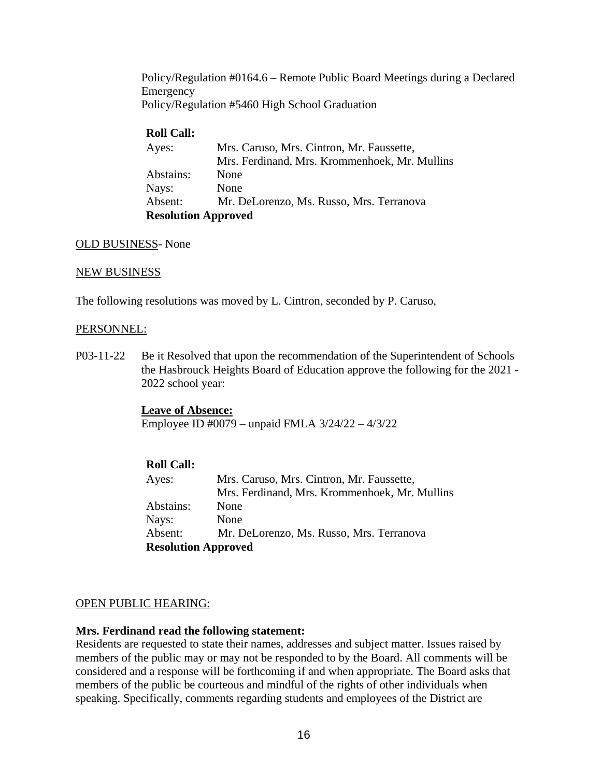Policy/Regulation #0164.6 – Remote Public Board Meetings during a Declared Emergency Policy/Regulation #5460 High School Graduation

## **Roll Call:**

| Ayes:                      | Mrs. Caruso, Mrs. Cintron, Mr. Faussette,     |
|----------------------------|-----------------------------------------------|
|                            | Mrs. Ferdinand, Mrs. Krommenhoek, Mr. Mullins |
| Abstains:                  | None                                          |
| Nays:                      | None                                          |
| Absent:                    | Mr. DeLorenzo, Ms. Russo, Mrs. Terranova      |
| <b>Resolution Approved</b> |                                               |

## OLD BUSINESS- None

## NEW BUSINESS

The following resolutions was moved by L. Cintron, seconded by P. Caruso,

### PERSONNEL:

P03-11-22 Be it Resolved that upon the recommendation of the Superintendent of Schools the Hasbrouck Heights Board of Education approve the following for the 2021 - 2022 school year:

> **Leave of Absence:** Employee ID #0079 – unpaid FMLA 3/24/22 – 4/3/22

## **Roll Call:**

| Ayes:                      | Mrs. Caruso, Mrs. Cintron, Mr. Faussette,     |
|----------------------------|-----------------------------------------------|
|                            | Mrs. Ferdinand, Mrs. Krommenhoek, Mr. Mullins |
| Abstains:                  | None                                          |
| Nays:                      | None                                          |
| Absent:                    | Mr. DeLorenzo, Ms. Russo, Mrs. Terranova      |
| <b>Resolution Approved</b> |                                               |

## OPEN PUBLIC HEARING:

## **Mrs. Ferdinand read the following statement:**

Residents are requested to state their names, addresses and subject matter. Issues raised by members of the public may or may not be responded to by the Board. All comments will be considered and a response will be forthcoming if and when appropriate. The Board asks that members of the public be courteous and mindful of the rights of other individuals when speaking. Specifically, comments regarding students and employees of the District are